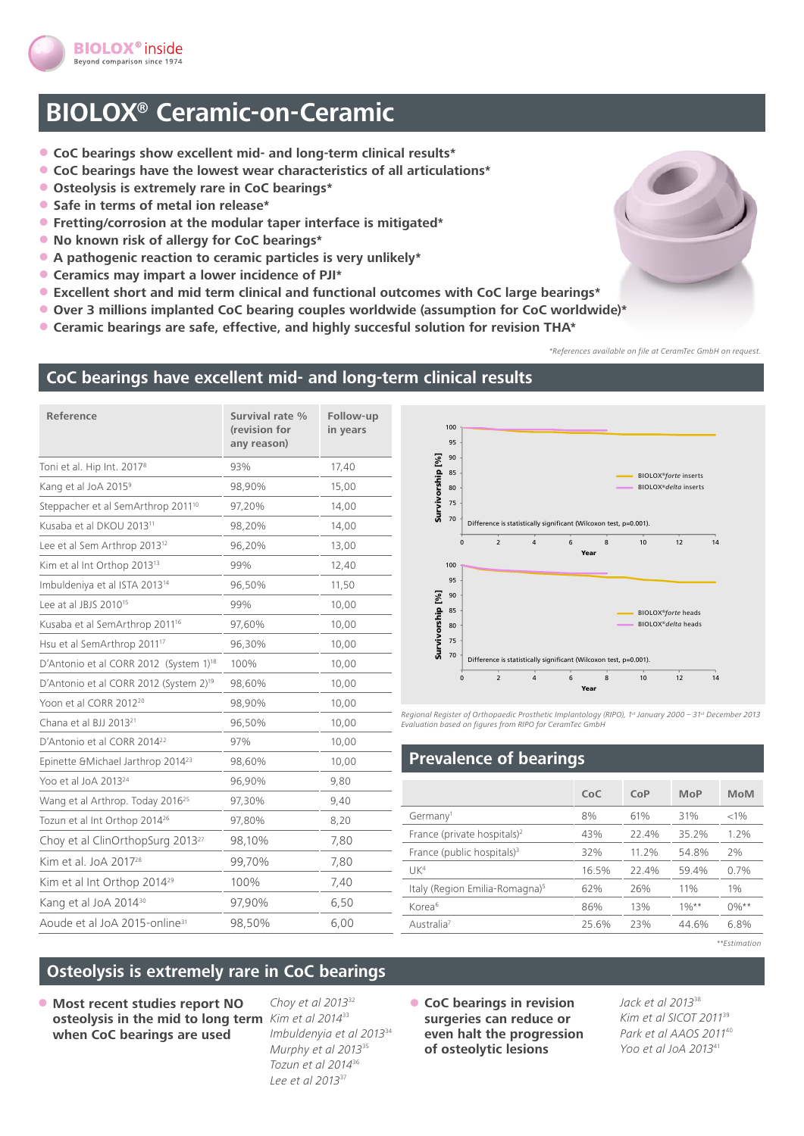

# **BIOLOX® Ceramic-on-Ceramic**

- **CoC bearings show excellent mid- and long-term clinical results\***
- **CoC bearings have the lowest wear characteristics of all articulations\***
- **Osteolysis is extremely rare in CoC bearings\***
- **Safe in terms of metal ion release\***
- **Fretting/corrosion at the modular taper interface is mitigated\***
- **No known risk of allergy for CoC bearings\***
- **A pathogenic reaction to ceramic particles is very unlikely\***
- **Ceramics may impart a lower incidence of PJI\***
- **Excellent short and mid term clinical and functional outcomes with CoC large bearings\***
- **Over 3 millions implanted CoC bearing couples worldwide (assumption for CoC worldwide)\***
- **Ceramic bearings are safe, effective, and highly succesful solution for revision THA\***

*\*References available on file at CeramTec GmbH on request.*

#### **CoC bearings have excellent mid- and long-term clinical results**

| Reference                                          | Survival rate %<br>(revision for<br>any reason) | Follow-up<br>in years |
|----------------------------------------------------|-------------------------------------------------|-----------------------|
| Toni et al. Hip Int. 2017 <sup>8</sup>             | 93%                                             | 17,40                 |
| Kang et al JoA 2015 <sup>9</sup>                   | 98,90%                                          | 15,00                 |
| Steppacher et al SemArthrop 2011 <sup>10</sup>     | 97,20%                                          | 14,00                 |
| Kusaba et al DKOU 2013 <sup>11</sup>               | 98,20%                                          | 14,00                 |
| Lee et al Sem Arthrop 2013 <sup>12</sup>           | 96,20%                                          | 13,00                 |
| Kim et al Int Orthop 2013 <sup>13</sup>            | 99%                                             | 12,40                 |
| Imbuldeniya et al ISTA 2013 <sup>14</sup>          | 96,50%                                          | 11,50                 |
| Lee at al JBJS 2010 <sup>15</sup>                  | 99%                                             | 10,00                 |
| Kusaba et al SemArthrop 2011 <sup>16</sup>         | 97,60%                                          | 10,00                 |
| Hsu et al SemArthrop 2011 <sup>17</sup>            | 96,30%                                          | 10,00                 |
| D'Antonio et al CORR 2012 (System 1) <sup>18</sup> | 100%                                            | 10,00                 |
| D'Antonio et al CORR 2012 (System 2) <sup>19</sup> | 98,60%                                          | 10,00                 |
| Yoon et al CORR 2012 <sup>20</sup>                 | 98,90%                                          | 10,00                 |
| Chana et al BJJ 2013 <sup>21</sup>                 | 96,50%                                          | 10,00                 |
| D'Antonio et al CORR 2014 <sup>22</sup>            | 97%                                             | 10,00                 |
| Epinette & Michael Jarthrop 201423                 | 98,60%                                          | 10,00                 |
| Yoo et al JoA 2013 <sup>24</sup>                   | 96,90%                                          | 9,80                  |
| Wang et al Arthrop. Today 2016 <sup>25</sup>       | 97,30%                                          | 9,40                  |
| Tozun et al Int Orthop 2014 <sup>26</sup>          | 97,80%                                          | 8,20                  |
| Choy et al ClinOrthopSurg 2013 <sup>27</sup>       | 98,10%                                          | 7,80                  |
| Kim et al. JoA 2017 <sup>28</sup>                  | 99,70%                                          | 7,80                  |
| Kim et al Int Orthop 2014 <sup>29</sup>            | 100%                                            | 7,40                  |
| Kang et al JoA 2014 <sup>30</sup>                  | 97,90%                                          | 6,50                  |
| Aoude et al JoA 2015-online <sup>31</sup>          | 98,50%                                          | 6,00                  |



*Regional Register of Orthopaedic Prosthetic Implantology (RIPO), 1st January 2000 – 31st December 2013 Evaluation based on figures from RIPO for CeramTec GmbH*

#### **Prevalence of bearings**

|                                            | CoC   | CoP   | MoP      | <b>MoM</b> |
|--------------------------------------------|-------|-------|----------|------------|
| Germany <sup>1</sup>                       | 8%    | 61%   | 31%      | < 1%       |
| France (private hospitals) <sup>2</sup>    | 43%   | 22.4% | 35.2%    | 1.2%       |
| France (public hospitals) <sup>3</sup>     | 32%   | 11 2% | 54.8%    | 2%         |
| IJK <sup>4</sup>                           | 16.5% | 22.4% | 59.4%    | 0.7%       |
| Italy (Region Emilia-Romagna) <sup>5</sup> | 62%   | 26%   | 11%      | 1%         |
| Korea <sup>6</sup>                         | 86%   | 13%   | $10/1**$ | $0\%**$    |
| Australia <sup>7</sup>                     | 25.6% | 23%   | 44.6%    | 6.8%       |
|                                            |       |       |          |            |

*\*\*Estimation*

## **Osteolysis is extremely rare in CoC bearings**

• **Most recent studies report NO osteolysis in the mid to long term**  *Kim et al 2014*<sup>33</sup> **when CoC bearings are used** 

*Choy et al 2013*<sup>32</sup> *Imbuldenyia et al 2013*<sup>34</sup> *Murphy et al 2013*<sup>35</sup> *Tozun et al 2014*<sup>36</sup> *Lee et al 2013*<sup>37</sup>

• **CoC bearings in revision surgeries can reduce or even halt the progression of osteolytic lesions** 

*Jack et al 2013*<sup>38</sup> *Kim et al SICOT 2011*<sup>39</sup> *Park et al AAOS 2011*<sup>40</sup> *Yoo et al JoA 2013*<sup>41</sup>